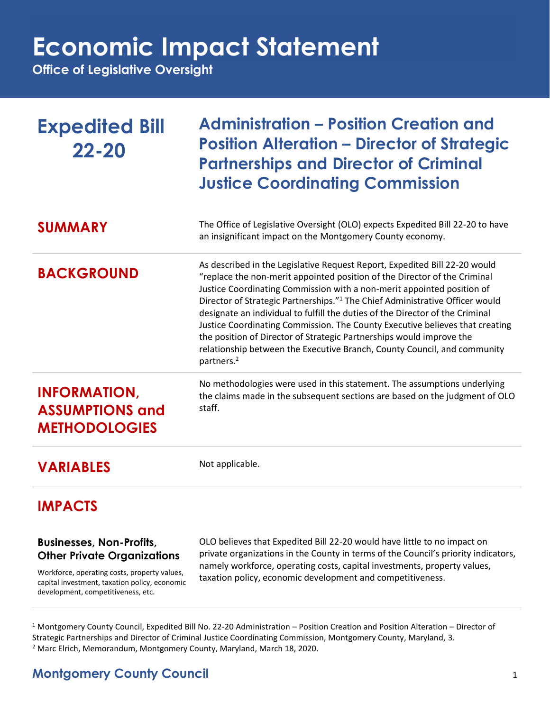## **Economic Impact Statement**

**Office of Legislative Oversight**

| <b>Expedited Bill</b><br>$22 - 20$                                    | <b>Administration - Position Creation and</b><br><b>Position Alteration – Director of Strategic</b><br><b>Partnerships and Director of Criminal</b><br><b>Justice Coordinating Commission</b>                                                                                                                                                                                                                                                                                                                                                                                                                                                                                |
|-----------------------------------------------------------------------|------------------------------------------------------------------------------------------------------------------------------------------------------------------------------------------------------------------------------------------------------------------------------------------------------------------------------------------------------------------------------------------------------------------------------------------------------------------------------------------------------------------------------------------------------------------------------------------------------------------------------------------------------------------------------|
| <b>SUMMARY</b>                                                        | The Office of Legislative Oversight (OLO) expects Expedited Bill 22-20 to have<br>an insignificant impact on the Montgomery County economy.                                                                                                                                                                                                                                                                                                                                                                                                                                                                                                                                  |
| <b>BACKGROUND</b>                                                     | As described in the Legislative Request Report, Expedited Bill 22-20 would<br>"replace the non-merit appointed position of the Director of the Criminal<br>Justice Coordinating Commission with a non-merit appointed position of<br>Director of Strategic Partnerships." <sup>1</sup> The Chief Administrative Officer would<br>designate an individual to fulfill the duties of the Director of the Criminal<br>Justice Coordinating Commission. The County Executive believes that creating<br>the position of Director of Strategic Partnerships would improve the<br>relationship between the Executive Branch, County Council, and community<br>partners. <sup>2</sup> |
| <b>INFORMATION,</b><br><b>ASSUMPTIONS and</b><br><b>METHODOLOGIES</b> | No methodologies were used in this statement. The assumptions underlying<br>the claims made in the subsequent sections are based on the judgment of OLO<br>staff.                                                                                                                                                                                                                                                                                                                                                                                                                                                                                                            |
| <b>VARIABLES</b>                                                      | Not applicable.                                                                                                                                                                                                                                                                                                                                                                                                                                                                                                                                                                                                                                                              |

### **IMPACTS**

#### **Businesses, Non-Profits, Other Private Organizations**

Workforce, operating costs, property values, capital investment, taxation policy, economic development, competitiveness, etc.

OLO believes that Expedited Bill 22-20 would have little to no impact on private organizations in the County in terms of the Council's priority indicators, namely workforce, operating costs, capital investments, property values, taxation policy, economic development and competitiveness.

 $1$  Montgomery County Council, Expedited Bill No. 22-20 Administration – Position Creation and Position Alteration – Director of Strategic Partnerships and Director of Criminal Justice Coordinating Commission, Montgomery County, Maryland, 3. <sup>2</sup> Marc Elrich, Memorandum, Montgomery County, Maryland, March 18, 2020.

## **Montgomery County Council** 1